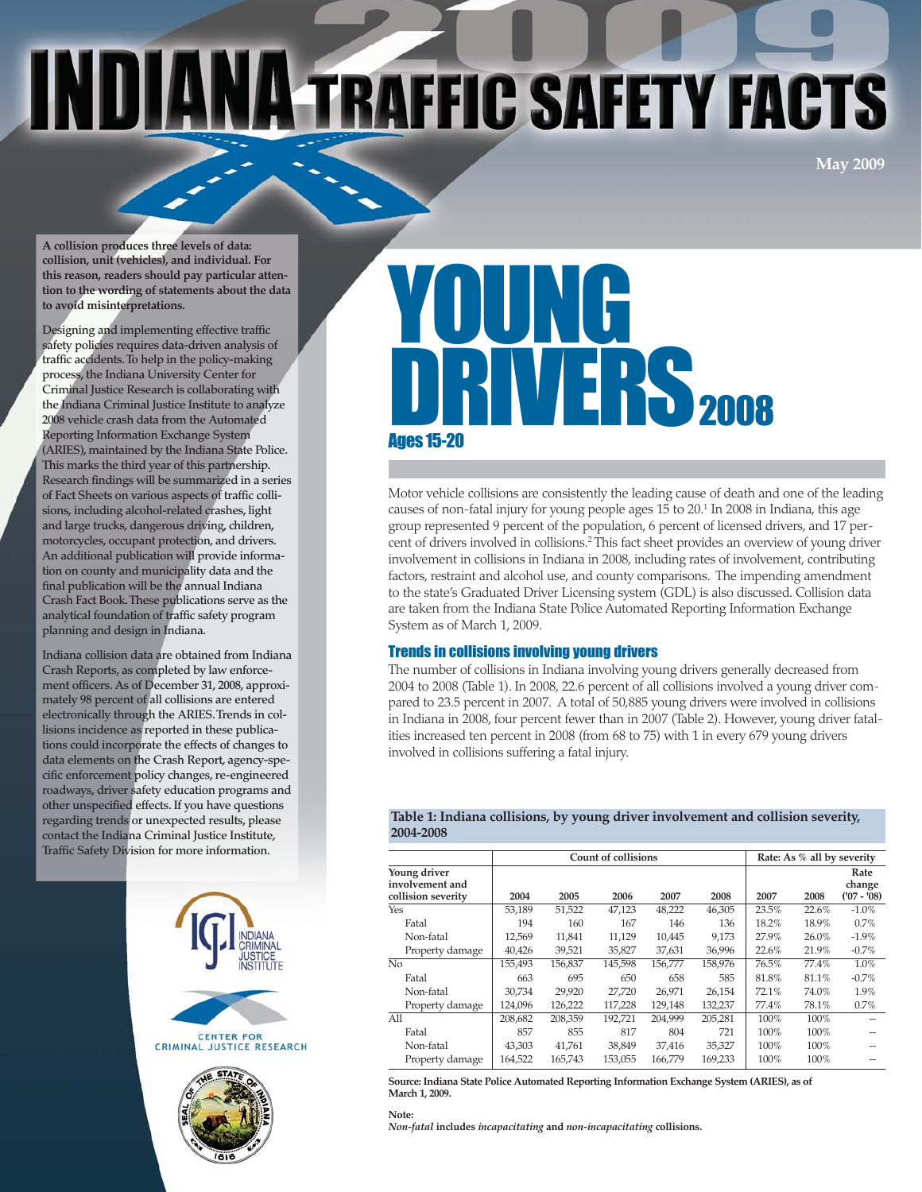# INDI **A TRAFFIC SAFETY FACTS**

**May 2009**

**A collision produces three levels of data: collision, unit (vehicles), and individual. For this reason, readers should pay particular attention to the wording of statements about the data to avoid misinterpretations.**

**Designing and implementing effective traffic safety policies requires data-driven analysis of traffic accidents. To help in the policy-making process, the Indiana University Center for Criminal Justice Research is collaborating with the Indiana Criminal Justice Institute to analyze 2008 vehicle crash data from the Automated Reporting Information Exchange System (ARIES), maintained by the Indiana State Police. This marks the third year of this partnership. Research findings will be summarized in a series of Fact Sheets on various aspects of traffic collisions, including alcohol-related crashes, light and large trucks, dangerous driving, children, motorcycles, occupant protection, and drivers. An additional publication will provide information on county and municipality data and the final publication will be the annual Indiana Crash Fact Book. These publications serve as the analytical foundation of traffic safety program planning and design in Indiana.**

**Indiana collision data are obtained from Indiana Crash Reports, as completed by law enforcement officers. As of December 31, 2008, approximately 98 percent of all collisions are entered electronically through the ARIES. Trends in collisions incidence as reported in these publications could incorporate the effects of changes to data elements on the Crash Report, agency-specific enforcement policy changes, re-engineered roadways, driver safety education programs and other unspecified effects. If you have questions regarding trends or unexpected results, please contact the Indiana Criminal Justice Institute, Traffic Safety Division for more information.**





# YOUNG **JERS2008** Ages 15-20

Motor vehicle collisions are consistently the leading cause of death and one of the leading causes of non-fatal injury for young people ages 15 to 20.1 In 2008 in Indiana, this age group represented 9 percent of the population, 6 percent of licensed drivers, and 17 percent of drivers involved in collisions.2 This fact sheet provides an overview of young driver involvement in collisions in Indiana in 2008, including rates of involvement, contributing factors, restraint and alcohol use, and county comparisons. The impending amendment to the state's Graduated Driver Licensing system (GDL) is also discussed. Collision data are taken from the Indiana State Police Automated Reporting Information Exchange System as of March 1, 2009.

# Trends in collisions involving young drivers

The number of collisions in Indiana involving young drivers generally decreased from 2004 to 2008 (Table 1). In 2008, 22.6 percent of all collisions involved a young driver compared to 23.5 percent in 2007. A total of 50,885 young drivers were involved in collisions in Indiana in 2008, four percent fewer than in 2007 (Table 2). However, young driver fatalities increased ten percent in 2008 (from 68 to 75) with 1 in every 679 young drivers involved in collisions suffering a fatal injury.

# **Table 1: Indiana collisions, by young driver involvement and collision severity, 2004-2008**

|                                                       |         | <b>Count of collisions</b> |         |         | Rate: As % all by severity |       |       |                               |
|-------------------------------------------------------|---------|----------------------------|---------|---------|----------------------------|-------|-------|-------------------------------|
| Young driver<br>involvement and<br>collision severity | 2004    | 2005                       | 2006    | 2007    | 2008                       | 2007  | 2008  | Rate<br>change<br>$(07 - 08)$ |
| Yes                                                   | 53,189  | 51,522                     | 47,123  | 48,222  | 46,305                     | 23.5% | 22.6% | $-1.0%$                       |
| Fatal                                                 | 194     | 160                        | 167     | 146     | 136                        | 18.2% | 18.9% | 0.7%                          |
| Non-fatal                                             | 12,569  | 11,841                     | 11,129  | 10,445  | 9.173                      | 27.9% | 26.0% | $-1.9\%$                      |
| Property damage                                       | 40.426  | 39,521                     | 35,827  | 37,631  | 36,996                     | 22.6% | 21.9% | $-0.7%$                       |
| No                                                    | 155,493 | 156,837                    | 145,598 | 156,777 | 158,976                    | 76.5% | 77.4% | 1.0%                          |
| Fatal                                                 | 663     | 695                        | 650     | 658     | 585                        | 81.8% | 81.1% | $-0.7%$                       |
| Non-fatal                                             | 30.734  | 29,920                     | 27.720  | 26.971  | 26,154                     | 72.1% | 74.0% | 1.9%                          |
| Property damage                                       | 124.096 | 126.222                    | 117.228 | 129.148 | 132,237                    | 77.4% | 78.1% | 0.7%                          |
| All                                                   | 208,682 | 208.359                    | 192.721 | 204.999 | 205.281                    | 100%  | 100%  |                               |
| Fatal                                                 | 857     | 855                        | 817     | 804     | 721                        | 100%  | 100%  |                               |
| Non-fatal                                             | 43.303  | 41,761                     | 38,849  | 37,416  | 35,327                     | 100%  | 100%  |                               |
| Property damage                                       | 164,522 | 165,743                    | 153,055 | 166.779 | 169,233                    | 100%  | 100%  |                               |

**Source: Indiana State Police Automated Reporting Information Exchange System (ARIES), as of March 1, 2009.**

#### **Note:**

*Non-fatal* **includes** *incapacitating* **and** *non-incapacitating* **collisions.**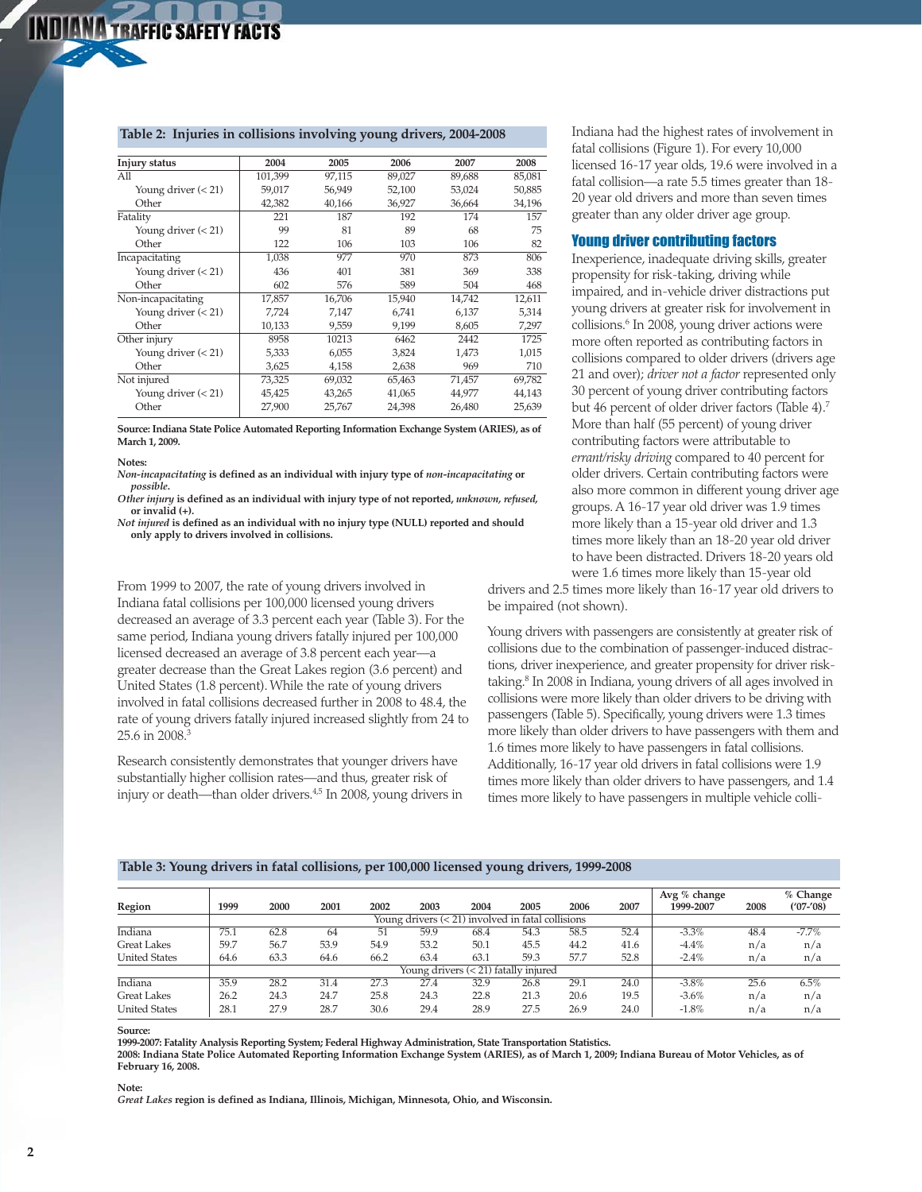# **Table 2: Injuries in collisions involving young drivers, 2004-2008**

| Injury status         | 2004    | 2005   | 2006   | 2007   | 2008   |
|-----------------------|---------|--------|--------|--------|--------|
| A11                   | 101,399 | 97,115 | 89,027 | 89,688 | 85,081 |
| Young driver $(< 21)$ | 59,017  | 56,949 | 52,100 | 53,024 | 50,885 |
| Other                 | 42,382  | 40,166 | 36,927 | 36,664 | 34,196 |
| Fatality              | 221     | 187    | 192    | 174    | 157    |
| Young driver $(< 21)$ | 99      | 81     | 89     | 68     | 75     |
| Other                 | 122     | 106    | 103    | 106    | 82     |
| Incapacitating        | 1.038   | 977    | 970    | 873    | 806    |
| Young driver $(< 21)$ | 436     | 401    | 381    | 369    | 338    |
| Other                 | 602     | 576    | 589    | 504    | 468    |
| Non-incapacitating    | 17,857  | 16,706 | 15,940 | 14.742 | 12,611 |
| Young driver $(< 21)$ | 7,724   | 7,147  | 6,741  | 6,137  | 5,314  |
| Other                 | 10,133  | 9,559  | 9,199  | 8,605  | 7,297  |
| Other injury          | 8958    | 10213  | 6462   | 2442   | 1725   |
| Young driver $(< 21)$ | 5,333   | 6.055  | 3,824  | 1.473  | 1.015  |
| Other                 | 3,625   | 4,158  | 2,638  | 969    | 710    |
| Not injured           | 73,325  | 69,032 | 65,463 | 71,457 | 69,782 |
| Young driver $(< 21)$ | 45,425  | 43,265 | 41,065 | 44,977 | 44,143 |
| Other                 | 27,900  | 25,767 | 24,398 | 26,480 | 25,639 |
|                       |         |        |        |        |        |

**Source: Indiana State Police Automated Reporting Information Exchange System (ARIES), as of March 1, 2009.**

#### **Notes:**

*Non-incapacitating* **is defined as an individual with injury type of** *non-incapacitating* **or** *possible***.**

*Other injury* **is defined as an individual with injury type of not reported,** *unknown, refused,* **or invalid (+).**

*Not injured* **is defined as an individual with no injury type (NULL) reported and should only apply to drivers involved in collisions.**

From 1999 to 2007, the rate of young drivers involved in Indiana fatal collisions per 100,000 licensed young drivers decreased an average of 3.3 percent each year (Table 3). For the same period, Indiana young drivers fatally injured per 100,000 licensed decreased an average of 3.8 percent each year—a greater decrease than the Great Lakes region (3.6 percent) and United States (1.8 percent). While the rate of young drivers involved in fatal collisions decreased further in 2008 to 48.4, the rate of young drivers fatally injured increased slightly from 24 to 25.6 in 2008.3

Research consistently demonstrates that younger drivers have substantially higher collision rates—and thus, greater risk of injury or death—than older drivers.4,5 In 2008, young drivers in Indiana had the highest rates of involvement in fatal collisions (Figure 1). For every 10,000 licensed 16-17 year olds, 19.6 were involved in a fatal collision—a rate 5.5 times greater than 18- 20 year old drivers and more than seven times greater than any older driver age group.

# Young driver contributing factors

Inexperience, inadequate driving skills, greater propensity for risk-taking, driving while impaired, and in-vehicle driver distractions put young drivers at greater risk for involvement in collisions.6 In 2008, young driver actions were more often reported as contributing factors in collisions compared to older drivers (drivers age 21 and over); *driver not a factor* represented only 30 percent of young driver contributing factors but 46 percent of older driver factors (Table 4).7 More than half (55 percent) of young driver contributing factors were attributable to *errant/risky driving* compared to 40 percent for older drivers. Certain contributing factors were also more common in different young driver age groups. A 16-17 year old driver was 1.9 times more likely than a 15-year old driver and 1.3 times more likely than an 18-20 year old driver to have been distracted. Drivers 18-20 years old were 1.6 times more likely than 15-year old

drivers and 2.5 times more likely than 16-17 year old drivers to be impaired (not shown).

Young drivers with passengers are consistently at greater risk of collisions due to the combination of passenger-induced distractions, driver inexperience, and greater propensity for driver risktaking.8 In 2008 in Indiana, young drivers of all ages involved in collisions were more likely than older drivers to be driving with passengers (Table 5). Specifically, young drivers were 1.3 times more likely than older drivers to have passengers with them and 1.6 times more likely to have passengers in fatal collisions. Additionally, 16-17 year old drivers in fatal collisions were 1.9 times more likely than older drivers to have passengers, and 1.4 times more likely to have passengers in multiple vehicle colli-

| Region               | 1999                                                 | 2000 | 2001 | 2002 | 2003                                 | 2004 | 2005 | 2006 | 2007 | Avg $%$ change<br>1999-2007 | 2008 | % Change<br>$(107 - 108)$ |
|----------------------|------------------------------------------------------|------|------|------|--------------------------------------|------|------|------|------|-----------------------------|------|---------------------------|
|                      | Young drivers $(< 21$ ) involved in fatal collisions |      |      |      |                                      |      |      |      |      |                             |      |                           |
| Indiana              | 75.1                                                 | 62.8 | 64   | 51   | 59.9                                 | 68.4 | 54.3 | 58.5 | 52.4 | $-3.3\%$                    | 48.4 | $-7.7\%$                  |
| <b>Great Lakes</b>   | 59.7                                                 | 56.7 | 53.9 | 54.9 | 53.2                                 | 50.1 | 45.5 | 44.2 | 41.6 | $-4.4\%$                    | n/a  | n/a                       |
| <b>United States</b> | 64.6                                                 | 63.3 | 64.6 | 66.2 | 63.4                                 | 63.1 | 59.3 | 57.7 | 52.8 | $-2.4%$                     | n/a  | n/a                       |
|                      |                                                      |      |      |      | Young drivers (< 21) fatally injured |      |      |      |      |                             |      |                           |
| Indiana              | 35.9                                                 | 28.2 | 31.4 | 27.3 | 27.4                                 | 32.9 | 26.8 | 29.1 | 24.0 | $-3.8\%$                    | 25.6 | 6.5%                      |
| <b>Great Lakes</b>   | 26.2                                                 | 24.3 | 24.7 | 25.8 | 24.3                                 | 22.8 | 21.3 | 20.6 | 19.5 | $-3.6%$                     | n/a  | n/a                       |
| <b>United States</b> | 28.1                                                 | 27.9 | 28.7 | 30.6 | 29.4                                 | 28.9 | 27.5 | 26.9 | 24.0 | $-1.8%$                     | n/a  | n/a                       |

#### **Table 3: Young drivers in fatal collisions, per 100,000 licensed young drivers, 1999-2008**

#### **Source:**

**1999-2007: Fatality Analysis Reporting System; Federal Highway Administration, State Transportation Statistics.**

**2008: Indiana State Police Automated Reporting Information Exchange System (ARIES), as of March 1, 2009; Indiana Bureau of Motor Vehicles, as of February 16, 2008.**

#### **Note:**

*Great Lakes* **region is defined as Indiana, Illinois, Michigan, Minnesota, Ohio, and Wisconsin.**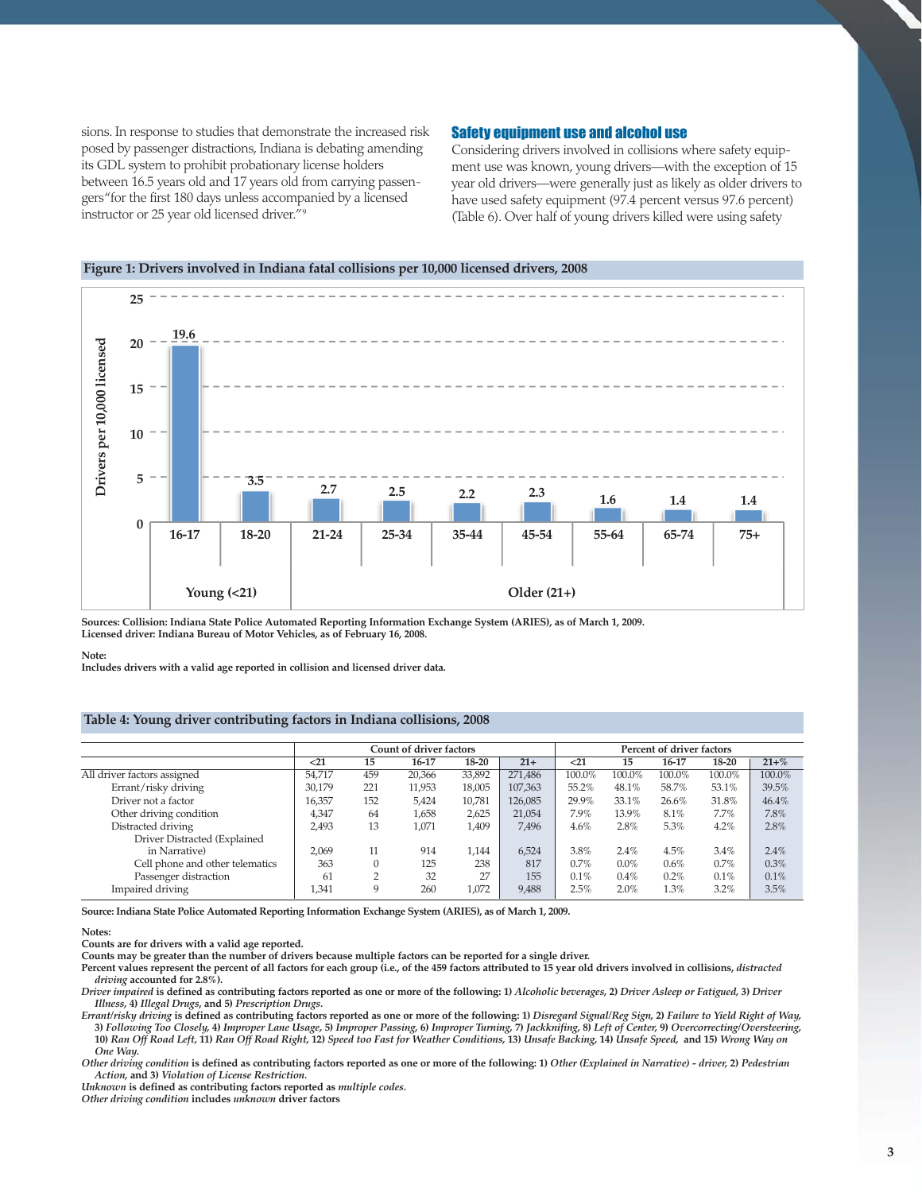sions. In response to studies that demonstrate the increased risk posed by passenger distractions, Indiana is debating amending its GDL system to prohibit probationary license holders between 16.5 years old and 17 years old from carrying passengers "for the first 180 days unless accompanied by a licensed instructor or 25 year old licensed driver." 9

# Safety equipment use and alcohol use

Considering drivers involved in collisions where safety equipment use was known, young drivers—with the exception of 15 year old drivers—were generally just as likely as older drivers to have used safety equipment (97.4 percent versus 97.6 percent) (Table 6). Over half of young drivers killed were using safety



**Sources: Collision: Indiana State Police Automated Reporting Information Exchange System (ARIES), as of March 1, 2009. Licensed driver: Indiana Bureau of Motor Vehicles, as of February 16, 2008.**

#### **Note:**

**Includes drivers with a valid age reported in collision and licensed driver data.**

# **Table 4: Young driver contributing factors in Indiana collisions, 2008**

|                                 |        |                | <b>Count of driver factors</b> |        |         | Percent of driver factors<br>$21$<br>18-20<br>16-17<br>15<br>100.0%<br>100.0%<br>100.0%<br>100.0%<br>55.2%<br>48.1%<br>58.7%<br>53.1%<br>29.9%<br>33.1%<br>26.6%<br>31.8%<br>7.9%<br>13.9%<br>8.1%<br>7.7%<br>5.3%<br>2.8%<br>4.6%<br>4.2%<br>3.8%<br>4.5%<br>3.4%<br>2.4%<br>0.7%<br>$0.6\%$<br>$0.0\%$<br>0.7%<br>0.1%<br>0.2%<br>0.4%<br>0.1% |      |      |      |           |
|---------------------------------|--------|----------------|--------------------------------|--------|---------|--------------------------------------------------------------------------------------------------------------------------------------------------------------------------------------------------------------------------------------------------------------------------------------------------------------------------------------------------|------|------|------|-----------|
|                                 | $21$   | 15             | 16-17                          | 18-20  | $21+$   |                                                                                                                                                                                                                                                                                                                                                  |      |      |      | $21 + \%$ |
| All driver factors assigned     | 54.717 | 459            | 20,366                         | 33,892 | 271.486 |                                                                                                                                                                                                                                                                                                                                                  |      |      |      | 100.0%    |
| Errant/risky driving            | 30.179 | 221            | 11.953                         | 18,005 | 107,363 |                                                                                                                                                                                                                                                                                                                                                  |      |      |      | 39.5%     |
| Driver not a factor             | 16,357 | 152            | 5.424                          | 10.781 | 126,085 |                                                                                                                                                                                                                                                                                                                                                  |      |      |      | 46.4%     |
| Other driving condition         | 4,347  | 64             | 1,658                          | 2,625  | 21,054  |                                                                                                                                                                                                                                                                                                                                                  |      |      |      | 7.8%      |
| Distracted driving              | 2,493  | 13             | 1,071                          | 1.409  | 7,496   |                                                                                                                                                                                                                                                                                                                                                  |      |      |      | 2.8%      |
| Driver Distracted (Explained    |        |                |                                |        |         |                                                                                                                                                                                                                                                                                                                                                  |      |      |      |           |
| in Narrative)                   | 2.069  | 11             | 914                            | 1.144  | 6,524   |                                                                                                                                                                                                                                                                                                                                                  |      |      |      | 2.4%      |
| Cell phone and other telematics | 363    | $\Omega$       | 125                            | 238    | 817     |                                                                                                                                                                                                                                                                                                                                                  |      |      |      | 0.3%      |
| Passenger distraction           | 61     | $\overline{2}$ | 32                             | 27     | 155     |                                                                                                                                                                                                                                                                                                                                                  |      |      |      | 0.1%      |
| Impaired driving                | 1,341  | 9              | 260                            | 1,072  | 9,488   | 2.5%                                                                                                                                                                                                                                                                                                                                             | 2.0% | 1.3% | 3.2% | 3.5%      |

**Source: Indiana State Police Automated Reporting Information Exchange System (ARIES), as of March 1, 2009.**

#### **Notes:**

**Counts are for drivers with a valid age reported.**

**Counts may be greater than the number of drivers because multiple factors can be reported for a single driver.**

Percent values represent the percent of all factors for each group (i.e., of the 459 factors attributed to 15 year old drivers involved in collisions, *distracted driving* **accounted for 2.8%).**

*Driver impaired* **is defined as contributing factors reported as one or more of the following: 1)** *Alcoholic beverages,* **2)** *Driver Asleep or Fatigued,* **3)** *Driver Illness,* **4)** *Illegal Drugs***, and 5)** *Prescription Drugs.*

*Errant/risky driving* **is defined as contributing factors reported as one or more of the following: 1)** *Disregard Signal/Reg Sign,* **2)** *Failure to Yield Right of Way,* 3) Following Too Closely, 4) Improper Lane Usage, 5) Improper Passing, 6) Improper Turning, 7) Jackknifing, 8) Left of Center, 9) Overcorrecting/Oversteering, 10) Ran Off Road Left, 11) Ran Off Road Right, 12) Speed too Fast for Weather Conditions, 13) Unsafe Backing, 14) Unsafe Speed, and 15) Wrong Way on *One Way.*

*Other driving condition* **is defined as contributing factors reported as one or more of the following: 1)** *Other (Explained in Narrative) - driver,* **2)** *Pedestrian Action,* **and 3)** *Violation of License Restriction.*

*Unknown* **is defined as contributing factors reported as** *multiple codes.*

*Other driving condition* **includes** *unknown* **driver factors**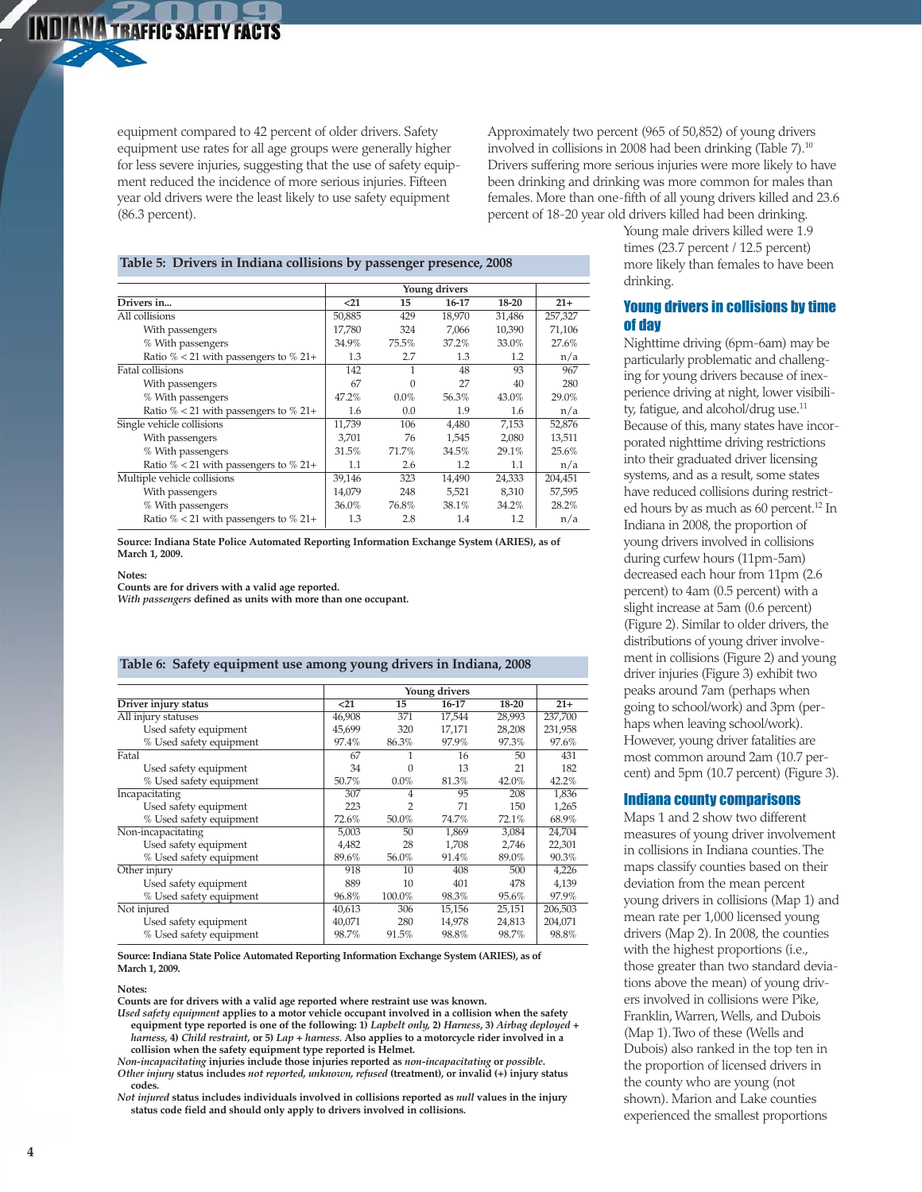equipment compared to 42 percent of older drivers. Safety equipment use rates for all age groups were generally higher for less severe injuries, suggesting that the use of safety equipment reduced the incidence of more serious injuries. Fifteen year old drivers were the least likely to use safety equipment (86.3 percent).

Approximately two percent (965 of 50,852) of young drivers involved in collisions in 2008 had been drinking (Table 7).10 Drivers suffering more serious injuries were more likely to have been drinking and drinking was more common for males than females. More than one-fifth of all young drivers killed and 23.6 percent of 18-20 year old drivers killed had been drinking.

# **Table 5: Drivers in Indiana collisions by passenger presence, 2008**

| Drivers in                                  | $21$   | 15       | 16-17  | 18-20  | $21+$   |
|---------------------------------------------|--------|----------|--------|--------|---------|
| All collisions                              | 50,885 | 429      | 18,970 | 31,486 | 257,327 |
| With passengers                             | 17,780 | 324      | 7.066  | 10,390 | 71,106  |
| % With passengers                           | 34.9%  | 75.5%    | 37.2%  | 33.0%  | 27.6%   |
| Ratio $\%$ < 21 with passengers to $\%$ 21+ | 1.3    | 2.7      | 1.3    | 1.2    | n/a     |
| <b>Fatal collisions</b>                     | 142    | 1        | 48     | 93     | 967     |
| With passengers                             | 67     | $\Omega$ | 27     | 40     | 280     |
| % With passengers                           | 47.2%  | $0.0\%$  | 56.3%  | 43.0%  | 29.0%   |
| Ratio $\%$ < 21 with passengers to $\%$ 21+ | 1.6    | 0.0      | 1.9    | 1.6    | n/a     |
| Single vehicle collisions                   | 11,739 | 106      | 4,480  | 7,153  | 52,876  |
| With passengers                             | 3.701  | 76       | 1.545  | 2,080  | 13,511  |
| % With passengers                           | 31.5%  | 71.7%    | 34.5%  | 29.1%  | 25.6%   |
| Ratio $\%$ < 21 with passengers to $\%$ 21+ | 1.1    | 2.6      | 1.2    | 1.1    | n/a     |
| Multiple vehicle collisions                 | 39,146 | 323      | 14,490 | 24,333 | 204,451 |
| With passengers                             | 14,079 | 248      | 5,521  | 8,310  | 57,595  |
| % With passengers                           | 36.0%  | 76.8%    | 38.1%  | 34.2%  | 28.2%   |
| Ratio $\%$ < 21 with passengers to $\%$ 21+ | 1.3    | 2.8      | 1.4    | 1.2    | n/a     |

**Source: Indiana State Police Automated Reporting Information Exchange System (ARIES), as of March 1, 2009.**

#### **Notes:**

**Counts are for drivers with a valid age reported.**

*With passengers* **defined as units with more than one occupant.**

# **Table 6: Safety equipment use among young drivers in Indiana, 2008**

|                         |        |         | Young drivers |           |         |
|-------------------------|--------|---------|---------------|-----------|---------|
| Driver injury status    | < 21   | 15      | 16-17         | $18 - 20$ | $21+$   |
| All injury statuses     | 46.908 | 371     | 17.544        | 28,993    | 237.700 |
| Used safety equipment   | 45,699 | 320     | 17,171        | 28,208    | 231,958 |
| % Used safety equipment | 97.4%  | 86.3%   | 97.9%         | 97.3%     | 97.6%   |
| Fatal                   | 67     |         | 16            | 50        | 431     |
| Used safety equipment   | 34     | 0       | 13            | 21        | 182     |
| % Used safety equipment | 50.7%  | $0.0\%$ | 81.3%         | 42.0%     | 42.2%   |
| Incapacitating          | 307    | 4       | 95            | 208       | 1,836   |
| Used safety equipment   | 223    | 2       | 71            | 150       | 1,265   |
| % Used safety equipment | 72.6%  | 50.0%   | 74.7%         | 72.1%     | 68.9%   |
| Non-incapacitating      | 5,003  | 50      | 1.869         | 3,084     | 24,704  |
| Used safety equipment   | 4,482  | 28      | 1,708         | 2,746     | 22,301  |
| % Used safety equipment | 89.6%  | 56.0%   | 91.4%         | 89.0%     | 90.3%   |
| Other injury            | 918    | 10      | 408           | 500       | 4,226   |
| Used safety equipment   | 889    | 10      | 401           | 478       | 4,139   |
| % Used safety equipment | 96.8%  | 100.0%  | 98.3%         | 95.6%     | 97.9%   |
| Not injured             | 40,613 | 306     | 15,156        | 25,151    | 206,503 |
| Used safety equipment   | 40,071 | 280     | 14,978        | 24,813    | 204,071 |
| % Used safety equipment | 98.7%  | 91.5%   | 98.8%         | 98.7%     | 98.8%   |

**Source: Indiana State Police Automated Reporting Information Exchange System (ARIES), as of March 1, 2009.**

#### **Notes:**

**Counts are for drivers with a valid age reported where restraint use was known.**

- *Used safety equipment* **applies to a motor vehicle occupant involved in a collision when the safety equipment type reported is one of the following: 1)** *Lapbelt only,* **2)** *Harness***, 3)** *Airbag deployed + harness,* **4)** *Child restraint,* **or 5)** *Lap + harness.* **Also applies to a motorcycle rider involved in a collision when the safety equipment type reported is Helmet.**
- *Non-incapacitating* **injuries include those injuries reported as** *non-incapacitating* **or** *possible***.**

*Other injury* **status includes** *not reported, unknown, refused* **(treatment), or invalid (+) injury status codes.**

*Not injured* **status includes individuals involved in collisions reported as** *null* **values in the injury status code field and should only apply to drivers involved in collisions.**

Young male drivers killed were 1.9 times (23.7 percent / 12.5 percent) more likely than females to have been drinking.

# Young drivers in collisions by time of day

Nighttime driving (6pm-6am) may be particularly problematic and challenging for young drivers because of inexperience driving at night, lower visibility, fatigue, and alcohol/drug use.<sup>11</sup> Because of this, many states have incorporated nighttime driving restrictions into their graduated driver licensing systems, and as a result, some states have reduced collisions during restricted hours by as much as 60 percent.12 In Indiana in 2008, the proportion of young drivers involved in collisions during curfew hours (11pm-5am) decreased each hour from 11pm (2.6 percent) to 4am (0.5 percent) with a slight increase at 5am (0.6 percent) (Figure 2). Similar to older drivers, the distributions of young driver involvement in collisions (Figure 2) and young driver injuries (Figure 3) exhibit two peaks around 7am (perhaps when going to school/work) and 3pm (perhaps when leaving school/work). However, young driver fatalities are most common around 2am (10.7 percent) and 5pm (10.7 percent) (Figure 3).

# Indiana county comparisons

Maps 1 and 2 show two different measures of young driver involvement in collisions in Indiana counties. The maps classify counties based on their deviation from the mean percent young drivers in collisions (Map 1) and mean rate per 1,000 licensed young drivers (Map 2). In 2008, the counties with the highest proportions (i.e., those greater than two standard deviations above the mean) of young drivers involved in collisions were Pike, Franklin, Warren, Wells, and Dubois (Map 1). Two of these (Wells and Dubois) also ranked in the top ten in the proportion of licensed drivers in the county who are young (not shown). Marion and Lake counties experienced the smallest proportions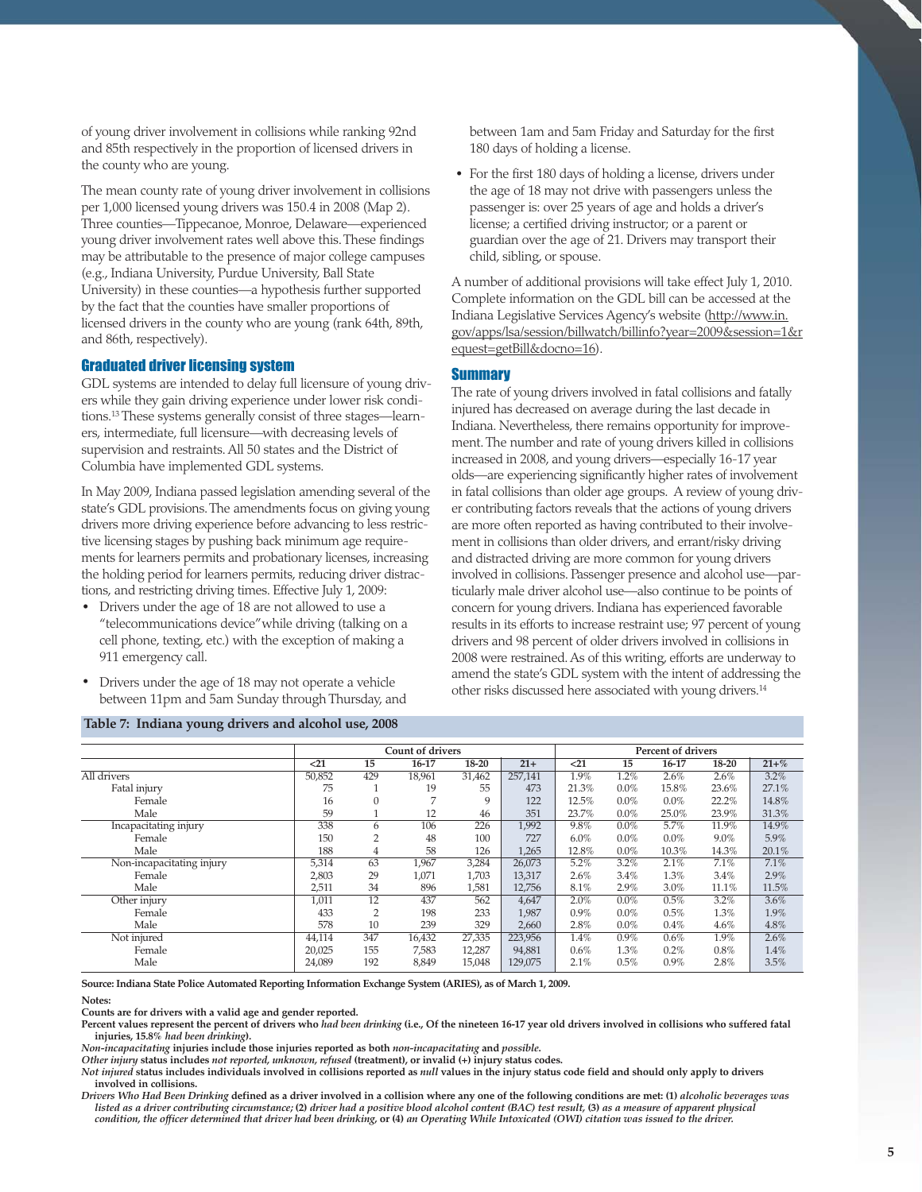of young driver involvement in collisions while ranking 92nd and 85th respectively in the proportion of licensed drivers in the county who are young.

The mean county rate of young driver involvement in collisions per 1,000 licensed young drivers was 150.4 in 2008 (Map 2). Three counties—Tippecanoe, Monroe, Delaware—experienced young driver involvement rates well above this. These findings may be attributable to the presence of major college campuses (e.g., Indiana University, Purdue University, Ball State University) in these counties—a hypothesis further supported by the fact that the counties have smaller proportions of licensed drivers in the county who are young (rank 64th, 89th, and 86th, respectively).

# Graduated driver licensing system

GDL systems are intended to delay full licensure of young drivers while they gain driving experience under lower risk conditions.13 These systems generally consist of three stages—learners, intermediate, full licensure—with decreasing levels of supervision and restraints. All 50 states and the District of Columbia have implemented GDL systems.

In May 2009, Indiana passed legislation amending several of the state's GDL provisions. The amendments focus on giving young drivers more driving experience before advancing to less restrictive licensing stages by pushing back minimum age requirements for learners permits and probationary licenses, increasing the holding period for learners permits, reducing driver distractions, and restricting driving times. Effective July 1, 2009:

- · Drivers under the age of 18 are not allowed to use a "telecommunications device" while driving (talking on a cell phone, texting, etc.) with the exception of making a 911 emergency call.
- · Drivers under the age of 18 may not operate a vehicle between 11pm and 5am Sunday through Thursday, and

# **Table 7: Indiana young drivers and alcohol use, 2008**

between 1am and 5am Friday and Saturday for the first 180 days of holding a license.

· For the first 180 days of holding a license, drivers under the age of 18 may not drive with passengers unless the passenger is: over 25 years of age and holds a driver's license; a certified driving instructor; or a parent or guardian over the age of 21. Drivers may transport their child, sibling, or spouse.

A number of additional provisions will take effect July 1, 2010. Complete information on the GDL bill can be accessed at the Indiana Legislative Services Agency's website (http://www.in. gov/apps/lsa/session/billwatch/billinfo?year=2009&session=1&r equest=getBill&docno=16).

#### **Summary**

The rate of young drivers involved in fatal collisions and fatally injured has decreased on average during the last decade in Indiana. Nevertheless, there remains opportunity for improvement. The number and rate of young drivers killed in collisions increased in 2008, and young drivers—especially 16-17 year olds—are experiencing significantly higher rates of involvement in fatal collisions than older age groups. A review of young driver contributing factors reveals that the actions of young drivers are more often reported as having contributed to their involvement in collisions than older drivers, and errant/risky driving and distracted driving are more common for young drivers involved in collisions. Passenger presence and alcohol use—particularly male driver alcohol use—also continue to be points of concern for young drivers. Indiana has experienced favorable results in its efforts to increase restraint use; 97 percent of young drivers and 98 percent of older drivers involved in collisions in 2008 were restrained. As of this writing, efforts are underway to amend the state's GDL system with the intent of addressing the other risks discussed here associated with young drivers.14

|                           |        |                | <b>Count of drivers</b> |        |         | <b>Percent of drivers</b> |         |         |       |           |
|---------------------------|--------|----------------|-------------------------|--------|---------|---------------------------|---------|---------|-------|-----------|
|                           | $21$   | 15             | 16-17                   | 18-20  | $21+$   | $21$                      | 15      | 16-17   | 18-20 | $21 + \%$ |
| All drivers               | 50,852 | 429            | 18,961                  | 31,462 | 257,141 | 1.9%                      | 1.2%    | 2.6%    | 2.6%  | 3.2%      |
| Fatal injury              | 75     |                | 19                      | 55     | 473     | 21.3%                     | $0.0\%$ | 15.8%   | 23.6% | 27.1%     |
| Female                    | 16     | $\mathbf{0}$   | 7                       | 9      | 122     | 12.5%                     | 0.0%    | $0.0\%$ | 22.2% | 14.8%     |
| Male                      | 59     |                | 12                      | 46     | 351     | 23.7%                     | $0.0\%$ | 25.0%   | 23.9% | 31.3%     |
| Incapacitating injury     | 338    | 6              | 106                     | 226    | 1,992   | 9.8%                      | $0.0\%$ | 5.7%    | 11.9% | 14.9%     |
| Female                    | 150    | 2              | 48                      | 100    | 727     | 6.0%                      | $0.0\%$ | $0.0\%$ | 9.0%  | 5.9%      |
| Male                      | 188    | 4              | 58                      | 126    | 1,265   | 12.8%                     | 0.0%    | 10.3%   | 14.3% | 20.1%     |
| Non-incapacitating injury | 5,314  | 63             | 1,967                   | 3,284  | 26,073  | 5.2%                      | 3.2%    | 2.1%    | 7.1%  | 7.1%      |
| Female                    | 2,803  | 29             | 1,071                   | 1,703  | 13,317  | 2.6%                      | 3.4%    | 1.3%    | 3.4%  | 2.9%      |
| Male                      | 2,511  | 34             | 896                     | 1,581  | 12,756  | 8.1%                      | 2.9%    | 3.0%    | 11.1% | 11.5%     |
| Other injury              | 1,011  | 12             | 437                     | 562    | 4,647   | 2.0%                      | 0.0%    | 0.5%    | 3.2%  | 3.6%      |
| Female                    | 433    | $\overline{2}$ | 198                     | 233    | 1,987   | $0.9\%$                   | 0.0%    | 0.5%    | 1.3%  | 1.9%      |
| Male                      | 578    | 10             | 239                     | 329    | 2,660   | 2.8%                      | 0.0%    | 0.4%    | 4.6%  | 4.8%      |
| Not injured               | 44,114 | 347            | 16,432                  | 27,335 | 223,956 | 1.4%                      | $0.9\%$ | 0.6%    | 1.9%  | 2.6%      |
| Female                    | 20,025 | 155            | 7,583                   | 12,287 | 94,881  | $0.6\%$                   | 1.3%    | 0.2%    | 0.8%  | 1.4%      |
| Male                      | 24,089 | 192            | 8,849                   | 15,048 | 129,075 | 2.1%                      | 0.5%    | $0.9\%$ | 2.8%  | 3.5%      |

**Source: Indiana State Police Automated Reporting Information Exchange System (ARIES), as of March 1, 2009.**

**Notes:**

**Counts are for drivers with a valid age and gender reported.**

**Percent values represent the percent of drivers who** *had been drinking* **(i.e., Of the nineteen 16-17 year old drivers involved in collisions who suffered fatal injuries, 15.8%** *had been drinking***).**

*Non-incapacitating* **injuries include those injuries reported as both** *non-incapacitating* **and** *possible***.**

*Other injury* **status includes** *not reported, unknown, refused* **(treatment), or invalid (+) injury status codes.**

*Not injured* **status includes individuals involved in collisions reported as** *null* **values in the injury status code field and should only apply to drivers involved in collisions.**

*Drivers Who Had Been Drinking* **defined as a driver involved in a collision where any one of the following conditions are met: (1)** *alcoholic beverages was listed as a driver contributing circumstance;* **(2)** *driver had a positive blood alcohol content (BAC) test result,* **(3)** *as a measure of apparent physical condition, the officer determined that driver had been drinking,* **or (4)** *an Operating While Intoxicated (OWI) citation was issued to the driver.*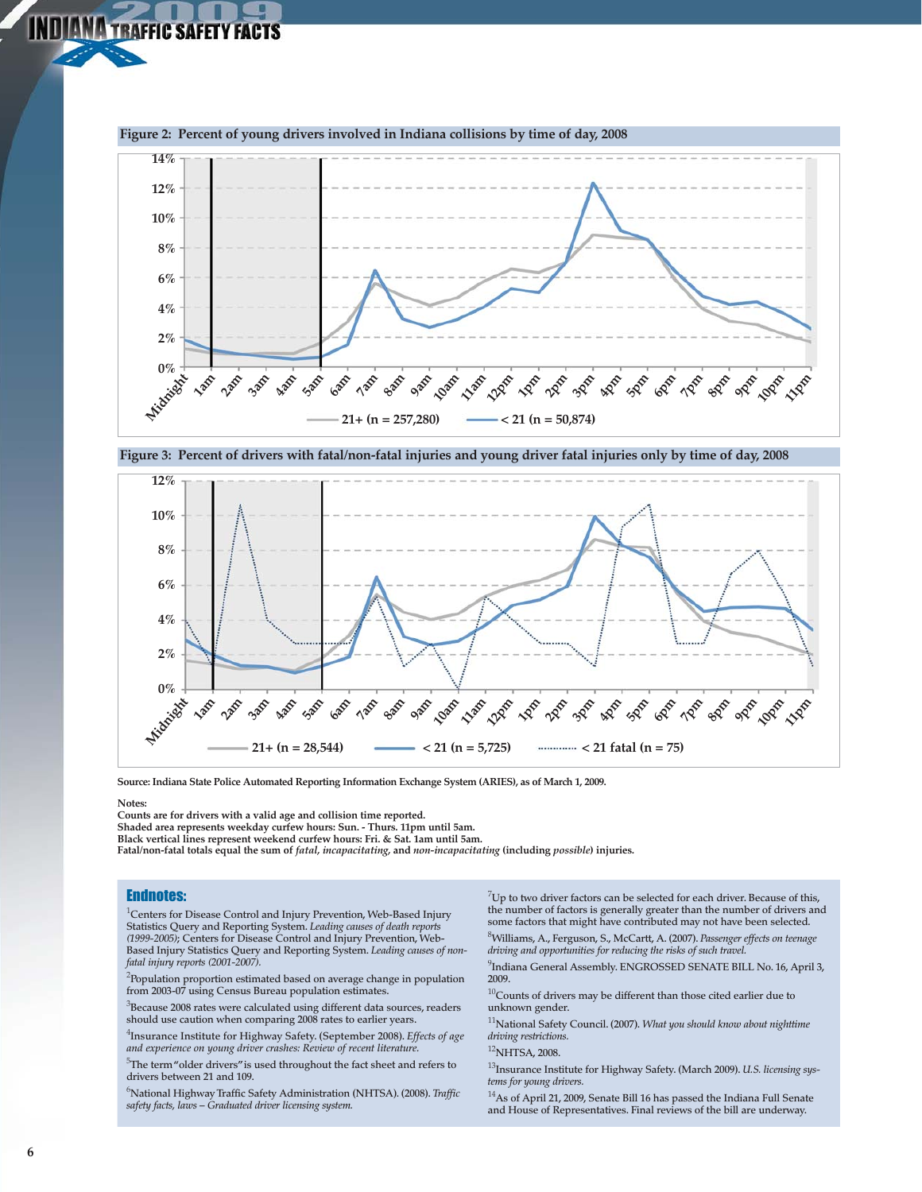



**Source: Indiana State Police Automated Reporting Information Exchange System (ARIES), as of March 1, 2009.**

**Notes:**

**Counts are for drivers with a valid age and collision time reported. Shaded area represents weekday curfew hours: Sun. - Thurs. 11pm until 5am. Black vertical lines represent weekend curfew hours: Fri. & Sat. 1am until 5am.**

**Fatal/non-fatal totals equal the sum of** *fatal, incapacitating,* **and** *non-incapacitating* **(including** *possible***) injuries.**

# Endnotes:

**IDIANA TRAFFIC SAFETY FACTS** 

1 **Centers for Disease Control and Injury Prevention, Web-Based Injury Statistics Query and Reporting System.** *Leading causes of death reports (1999-2005)***; Centers for Disease Control and Injury Prevention, Web-Based Injury Statistics Query and Reporting System.** *Leading causes of nonfatal injury reports (2001-2007).*

2 **Population proportion estimated based on average change in population from 2003-07 using Census Bureau population estimates.**

3 **Because 2008 rates were calculated using different data sources, readers should use caution when comparing 2008 rates to earlier years.**

4 **Insurance Institute for Highway Safety. (September 2008).** *Effects of age and experience on young driver crashes: Review of recent literature.*

5 **The term "older drivers" is used throughout the fact sheet and refers to drivers between 21 and 109.**

6 **National Highway Traffic Safety Administration (NHTSA). (2008).** *Traffic safety facts, laws – Graduated driver licensing system.*

7 **Up to two driver factors can be selected for each driver. Because of this, the number of factors is generally greater than the number of drivers and some factors that might have contributed may not have been selected.** 

8 **Williams, A., Ferguson, S., McCartt, A. (2007).** *Passenger effects on teenage driving and opportunities for reducing the risks of such travel.*

9 **Indiana General Assembly. ENGROSSED SENATE BILL No. 16, April 3, 2009.**

<sup>10</sup>**Counts of drivers may be different than those cited earlier due to unknown gender.**

<sup>11</sup>**National Safety Council. (2007).** *What you should know about nighttime driving restrictions.*

#### <sup>12</sup>**NHTSA, 2008.**

<sup>13</sup>**Insurance Institute for Highway Safety. (March 2009).** *U.S. licensing systems for young drivers.*

<sup>14</sup>**As of April 21, 2009, Senate Bill 16 has passed the Indiana Full Senate and House of Representatives. Final reviews of the bill are underway.**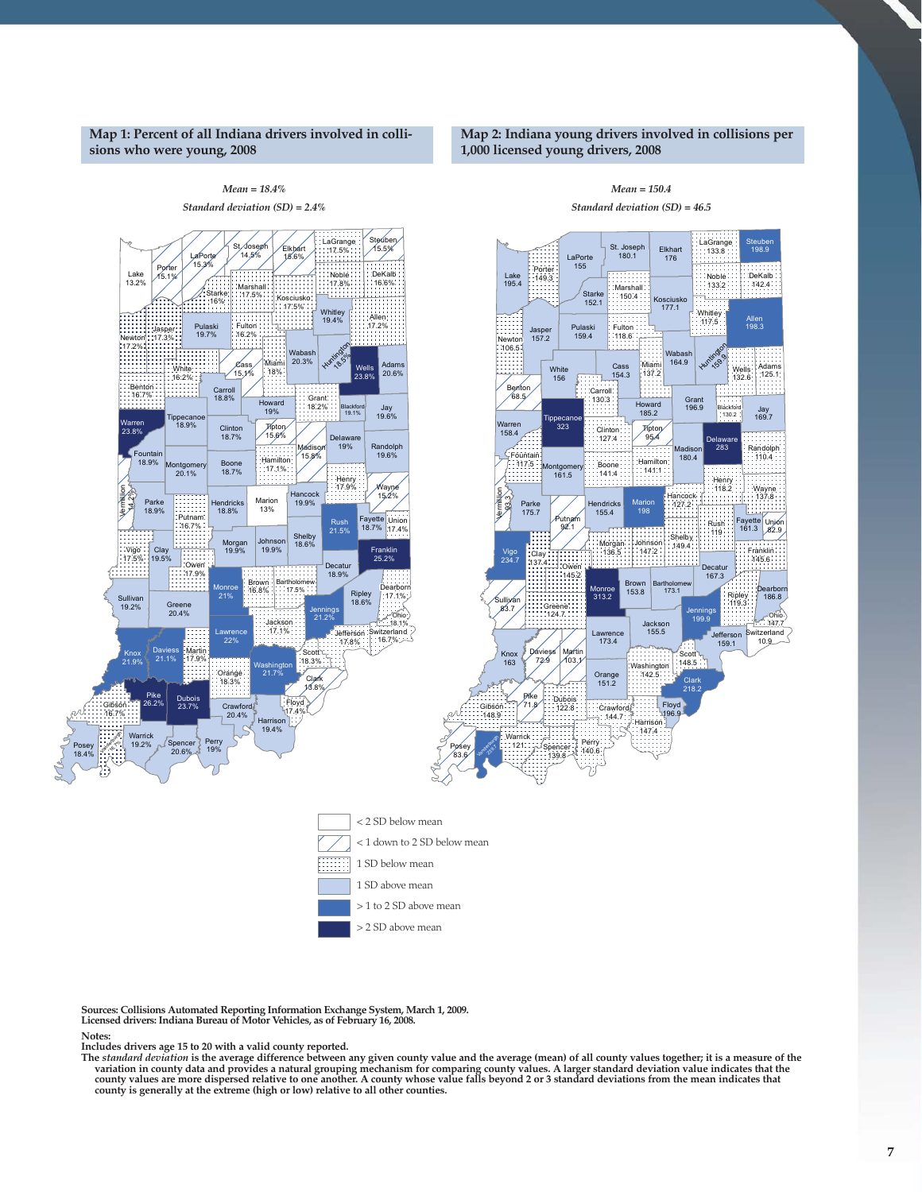# **Map 1: Percent of all Indiana drivers involved in collisions who were young, 2008**

# **Map 2: Indiana young drivers involved in collisions per 1,000 licensed young drivers, 2008**



**Sources: Collisions Automated Reporting Information Exchange System, March 1, 2009. Licensed drivers: Indiana Bureau of Motor Vehicles, as of February 16, 2008.**

#### **Notes:**

Includes drivers age 15 to 20 with a valid county reported.<br>The *standard deviation* is the average difference between any given county value and the average (mean) of all county values together; it is a measure of the variation in county data and provides a natural grouping mechanism for comparing county values. A larger standard deviation value indicates that the<br>county values are more dispersed relative to one another. A county whose **county is generally at the extreme (high or low) relative to all other counties.**